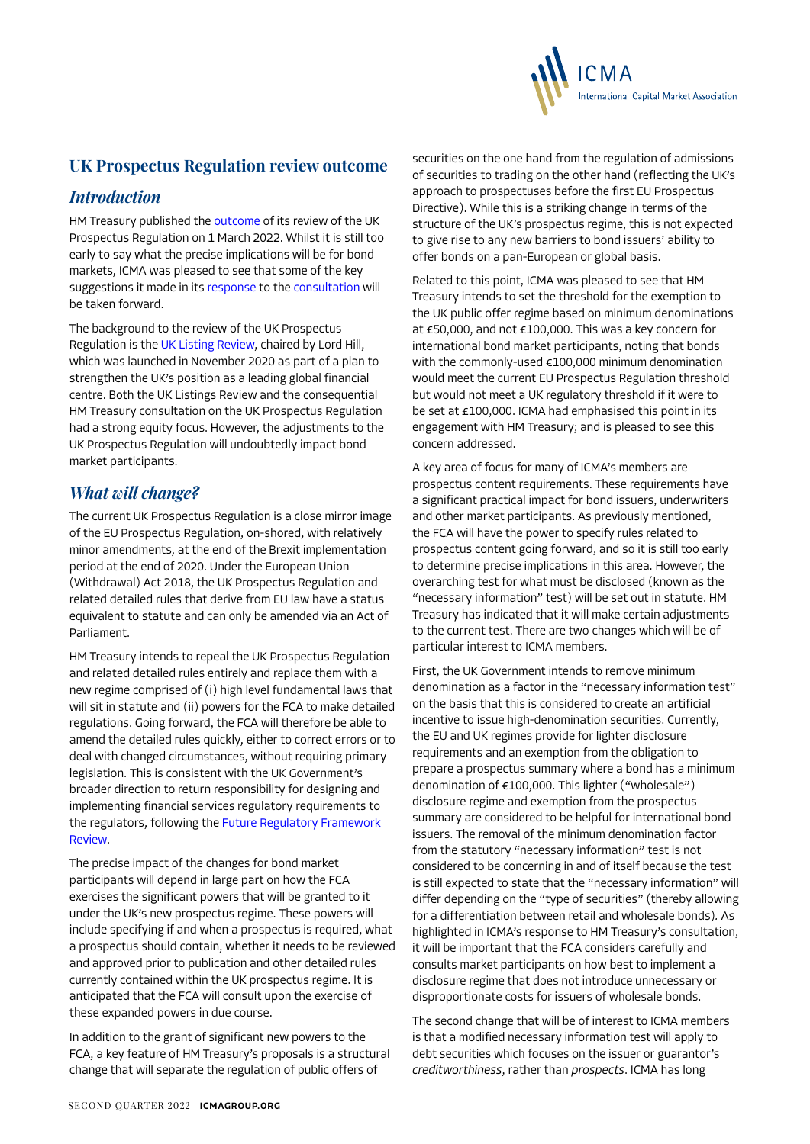

# **UK Prospectus Regulation review outcome**

#### *Introduction*

HM Treasury published the [outcome](https://assets.publishing.service.gov.uk/government/uploads/system/uploads/attachment_data/file/1058438/UK_Prospectus_Regime_Review_Outcome.pdf) of its review of the UK Prospectus Regulation on 1 March 2022. Whilst it is still too early to say what the precise implications will be for bond markets, ICMA was pleased to see that some of the key suggestions it made in its [response](https://www.icmagroup.org/assets/documents/Regulatory/Primary-Markets/ICMA-response-to-UK-HMT-Prospectus-Regulation-23-September-2021-230921.pdf) to the [consultation](https://assets.publishing.service.gov.uk/government/uploads/system/uploads/attachment_data/file/999771/Consultation_on_the_UK_prospectus_regime.pdf) will be taken forward.

The background to the review of the UK Prospectus Regulation is the [UK Listing Review](https://assets.publishing.service.gov.uk/government/uploads/system/uploads/attachment_data/file/966133/UK_Listing_Review_3_March.pdf), chaired by Lord Hill, which was launched in November 2020 as part of a plan to strengthen the UK's position as a leading global financial centre. Both the UK Listings Review and the consequential HM Treasury consultation on the UK Prospectus Regulation had a strong equity focus. However, the adjustments to the UK Prospectus Regulation will undoubtedly impact bond market participants.

## *What will change?*

The current UK Prospectus Regulation is a close mirror image of the EU Prospectus Regulation, on-shored, with relatively minor amendments, at the end of the Brexit implementation period at the end of 2020. Under the European Union (Withdrawal) Act 2018, the UK Prospectus Regulation and related detailed rules that derive from EU law have a status equivalent to statute and can only be amended via an Act of Parliament.

HM Treasury intends to repeal the UK Prospectus Regulation and related detailed rules entirely and replace them with a new regime comprised of (i) high level fundamental laws that will sit in statute and (ii) powers for the FCA to make detailed regulations. Going forward, the FCA will therefore be able to amend the detailed rules quickly, either to correct errors or to deal with changed circumstances, without requiring primary legislation. This is consistent with the UK Government's broader direction to return responsibility for designing and implementing financial services regulatory requirements to the regulators, following the [Future Regulatory Framework](https://www.gov.uk/government/consultations/future-regulatory-framework-frf-review-proposals-for-reform)  [Review.](https://www.gov.uk/government/consultations/future-regulatory-framework-frf-review-proposals-for-reform)

The precise impact of the changes for bond market participants will depend in large part on how the FCA exercises the significant powers that will be granted to it under the UK's new prospectus regime. These powers will include specifying if and when a prospectus is required, what a prospectus should contain, whether it needs to be reviewed and approved prior to publication and other detailed rules currently contained within the UK prospectus regime. It is anticipated that the FCA will consult upon the exercise of these expanded powers in due course.

In addition to the grant of significant new powers to the FCA, a key feature of HM Treasury's proposals is a structural change that will separate the regulation of public offers of

securities on the one hand from the regulation of admissions of securities to trading on the other hand (reflecting the UK's approach to prospectuses before the first EU Prospectus Directive). While this is a striking change in terms of the structure of the UK's prospectus regime, this is not expected to give rise to any new barriers to bond issuers' ability to offer bonds on a pan-European or global basis.

Related to this point, ICMA was pleased to see that HM Treasury intends to set the threshold for the exemption to the UK public offer regime based on minimum denominations at £50,000, and not £100,000. This was a key concern for international bond market participants, noting that bonds with the commonly-used €100,000 minimum denomination would meet the current EU Prospectus Regulation threshold but would not meet a UK regulatory threshold if it were to be set at £100,000. ICMA had emphasised this point in its engagement with HM Treasury; and is pleased to see this concern addressed.

A key area of focus for many of ICMA's members are prospectus content requirements. These requirements have a significant practical impact for bond issuers, underwriters and other market participants. As previously mentioned, the FCA will have the power to specify rules related to prospectus content going forward, and so it is still too early to determine precise implications in this area. However, the overarching test for what must be disclosed (known as the "necessary information" test) will be set out in statute. HM Treasury has indicated that it will make certain adjustments to the current test. There are two changes which will be of particular interest to ICMA members.

First, the UK Government intends to remove minimum denomination as a factor in the "necessary information test" on the basis that this is considered to create an artificial incentive to issue high-denomination securities. Currently, the EU and UK regimes provide for lighter disclosure requirements and an exemption from the obligation to prepare a prospectus summary where a bond has a minimum denomination of €100,000. This lighter ("wholesale") disclosure regime and exemption from the prospectus summary are considered to be helpful for international bond issuers. The removal of the minimum denomination factor from the statutory "necessary information" test is not considered to be concerning in and of itself because the test is still expected to state that the "necessary information" will differ depending on the "type of securities" (thereby allowing for a differentiation between retail and wholesale bonds)*.* As highlighted in ICMA's response to HM Treasury's consultation, it will be important that the FCA considers carefully and consults market participants on how best to implement a disclosure regime that does not introduce unnecessary or disproportionate costs for issuers of wholesale bonds.

The second change that will be of interest to ICMA members is that a modified necessary information test will apply to debt securities which focuses on the issuer or guarantor's *creditworthiness*, rather than *prospects*. ICMA has long